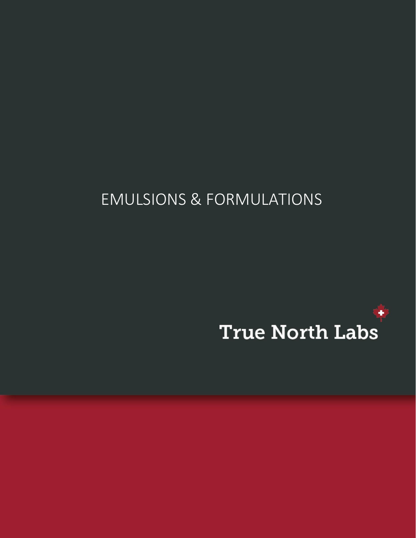## EMULSIONS & FORMULATIONS

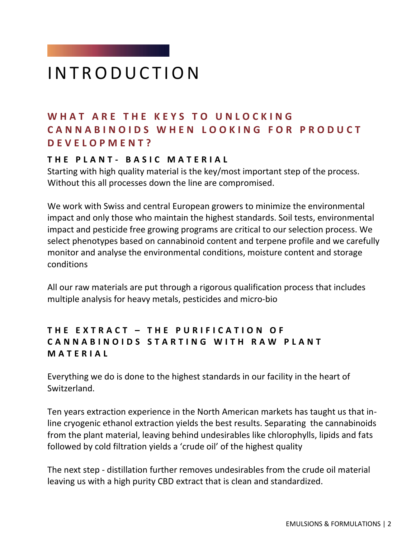## **INTRODUCTION**

#### WHAT ARE THE KEYS TO UNLOCKING CANNABINOIDS WHEN LOOKING FOR PRODUCT **D E V E L O P M E N T ?**

#### **T H E P L A N T - B A S I C M A T E R I A L**

Starting with high quality material is the key/most important step of the process. Without this all processes down the line are compromised.

We work with Swiss and central European growers to minimize the environmental impact and only those who maintain the highest standards. Soil tests, environmental impact and pesticide free growing programs are critical to our selection process. We select phenotypes based on cannabinoid content and terpene profile and we carefully monitor and analyse the environmental conditions, moisture content and storage conditions

All our raw materials are put through a rigorous qualification process that includes multiple analysis for heavy metals, pesticides and micro-bio

#### **T H E E X T R A C T – T H E P U R I F I C A T I O N O F CANNABINOIDS STARTING WITH RAW PLANT M A T E R I A L**

Everything we do is done to the highest standards in our facility in the heart of Switzerland.

Ten years extraction experience in the North American markets has taught us that inline cryogenic ethanol extraction yields the best results. Separating the cannabinoids from the plant material, leaving behind undesirables like chlorophylls, lipids and fats followed by cold filtration yields a 'crude oil' of the highest quality

The next step - distillation further removes undesirables from the crude oil material leaving us with a high purity CBD extract that is clean and standardized.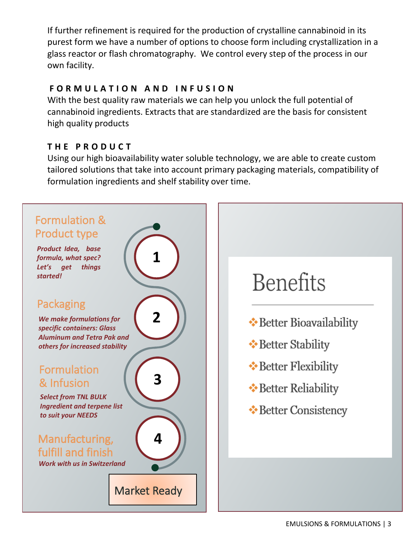If further refinement is required for the production of crystalline cannabinoid in its purest form we have a number of options to choose form including crystallization in a glass reactor or flash chromatography. We control every step of the process in our own facility.

#### **F O R M U L A T I O N A N D I N F U S I O N**

With the best quality raw materials we can help you unlock the full potential of cannabinoid ingredients. Extracts that are standardized are the basis for consistent high quality products

#### **T H E P R O D U C T**

Using our high bioavailability water soluble technology, we are able to create custom tailored solutions that take into account primary packaging materials, compatibility of formulation ingredients and shelf stability over time.

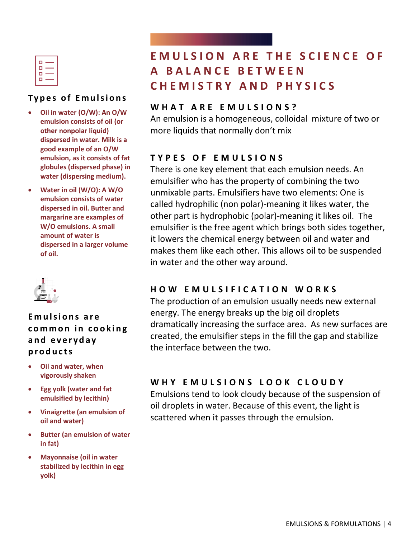| O |  |
|---|--|
| п |  |
| О |  |
| п |  |
|   |  |

#### **Types of Emulsions**

- **Oil in water (O/W): An O/W emulsion consists of oil (or other nonpolar liquid) dispersed in water. Milk is a good example of an O/W emulsion, as it consists of fat globules (dispersed phase) in water (dispersing medium).**
- **Water in oil (W/O): A W/O emulsion consists of water dispersed in oil. Butter and margarine are examples of W/O emulsions. A small amount of water is dispersed in a larger volume of oil.**



#### **E**mulsions are common in cooking **a n d e v e r y d a y p r o d u c t s**

- **Oil and water, when vigorously shaken**
- **Egg yolk (water and fat emulsified by lecithin)**
- **Vinaigrette (an emulsion of oil and water)**
- **Butter (an emulsion of water in fat)**
- **Mayonnaise (oil in water stabilized by lecithin in egg yolk)**

### **EMULSION ARE THE SCIENCE OF A B A L A N C E B E T W E E N C H E M I S T R Y A N D P H Y S I C S**

#### **W H A T A R E E M U L S I O N S ?**

An emulsion is a homogeneous, colloidal mixture of two or more liquids that normally don't mix

#### **T Y P E S O F E M U L S I O N S**

There is one key element that each emulsion needs. An emulsifier who has the property of combining the two unmixable parts. Emulsifiers have two elements: One is called hydrophilic (non polar)-meaning it likes water, the other part is hydrophobic (polar)-meaning it likes oil. The emulsifier is the free agent which brings both sides together, it lowers the chemical energy between oil and water and makes them like each other. This allows oil to be suspended in water and the other way around.

#### **H O W E M U L S I F I C A T I O N W O R K S**

The production of an emulsion usually needs new external energy. The energy breaks up the big oil droplets dramatically increasing the surface area. As new surfaces are created, the emulsifier steps in the fill the gap and stabilize the interface between the two.

#### WHY EMULSIONS LOOK CLOUDY

Emulsions tend to look cloudy because of the suspension of oil droplets in water. Because of this event, the light is scattered when it passes through the emulsion.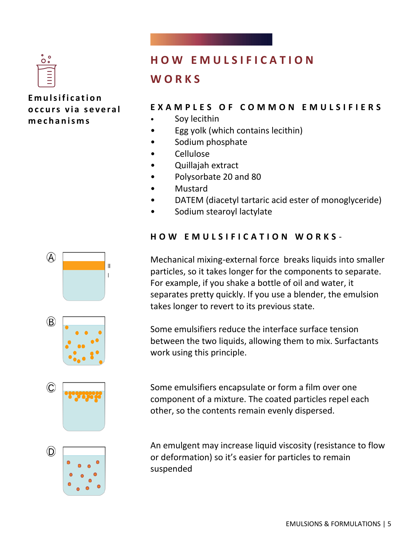

 $\mathbb{A}$ 

 $\circledR$ 

C

 $\mathbf{I}$  $\mathbf{L}$ 

**E m u l s i f i c a t i o n o c c u r s v i a s e v e r a l m e c h a n i s m s**

### **H O W E M U L S I F I C A T I O N**

#### **W O R K S**

#### **E X A M P L E S O F C O M M O N E M U L S I F I E R S**

- Soy lecithin
- Egg yolk (which contains lecithin)
- Sodium phosphate
- Cellulose
- Quillajah extract
- Polysorbate 20 and 80
- Mustard
- DATEM (diacetyl tartaric acid ester of monoglyceride)
- Sodium stearoyl lactylate

#### **H O W E M U L S I F I C A T I O N W O R K S** -

Mechanical mixing-external force breaks liquids into smaller particles, so it takes longer for the components to separate. For example, if you shake a bottle of oil and water, it separates pretty quickly. If you use a blender, the emulsion takes longer to revert to its previous state.

Some emulsifiers reduce the interface surface tension between the two liquids, allowing them to mix. Surfactants work using this principle.

Some emulsifiers encapsulate or form a film over one component of a mixture. The coated particles repel each other, so the contents remain evenly dispersed.



An emulgent may increase liquid viscosity (resistance to flow or deformation) so it's easier for particles to remain suspended

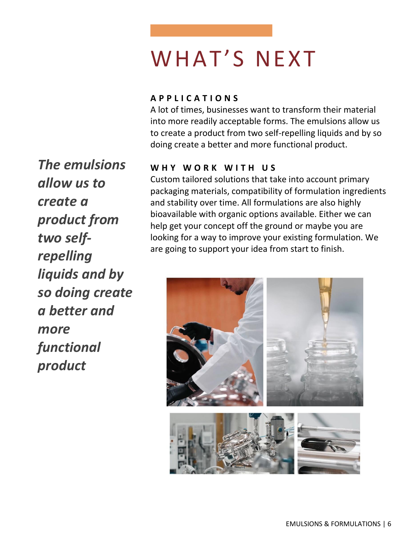# WHAT'S NEXT

#### **A P P L I C A T I O N S**

A lot of times, businesses want to transform their material into more readily acceptable forms. The emulsions allow us to create a product from two self-repelling liquids and by so doing create a better and more functional product.

#### WHY WORK WITH US

Custom tailored solutions that take into account primary packaging materials, compatibility of formulation ingredients and stability over time. All formulations are also highly bioavailable with organic options available. Either we can help get your concept off the ground or maybe you are looking for a way to improve your existing formulation. We are going to support your idea from start to finish.



*The emulsions allow us to create a product from two selfrepelling liquids and by so doing create a better and more functional product*